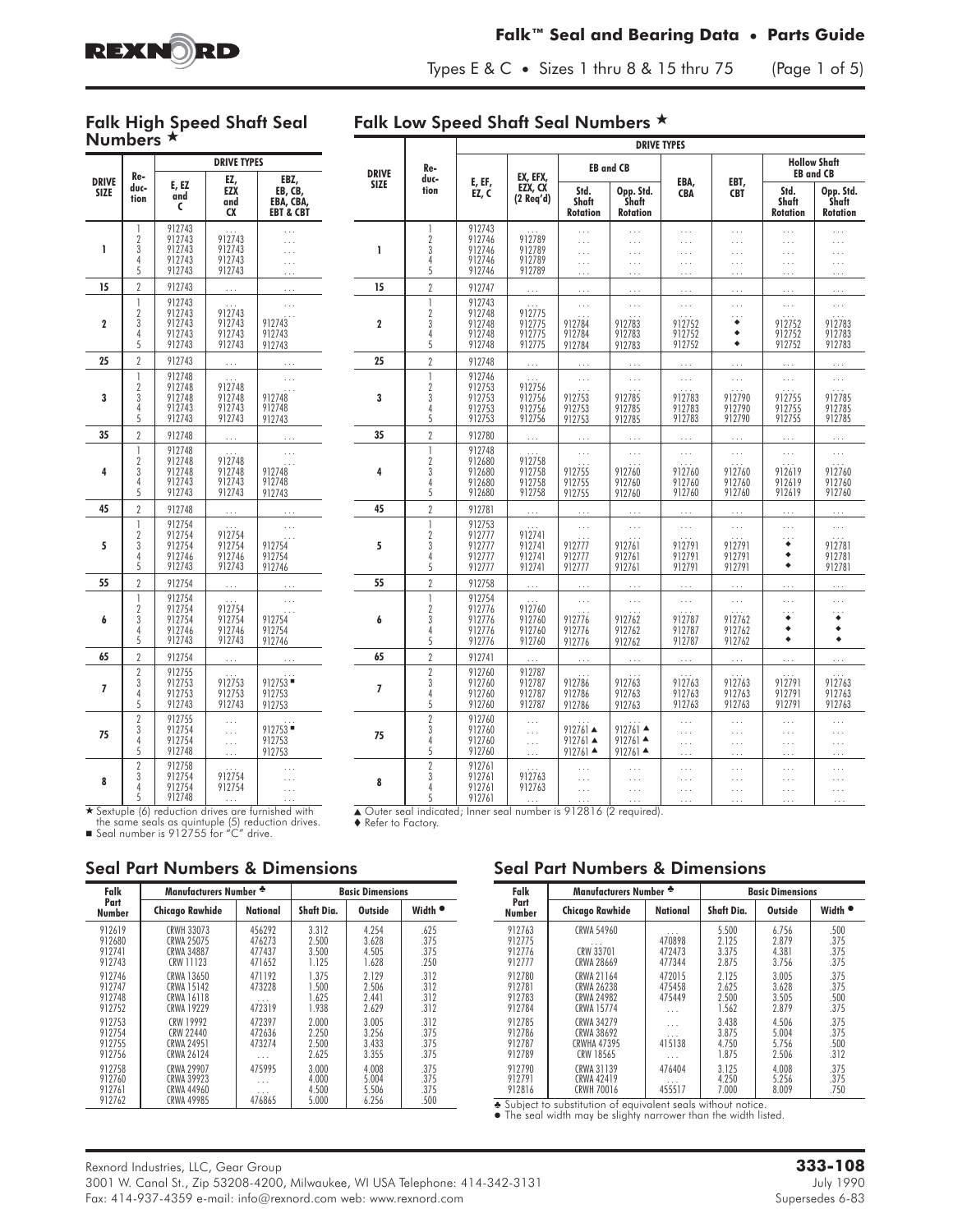

#### **Falk™ Seal and Bearing Data • Parts Guide**

Types E & C **•** Sizes 1 thru 8 & 15 thru 75 (Page 1 of 5)

#### Falk High Speed Shaft Seal Numbers  $\star$

### Falk Low Speed Shaft Seal Numbers  $\star$

|                             |                                                              |                                                | <b>DRIVE TYPES</b>                   |                                                      |
|-----------------------------|--------------------------------------------------------------|------------------------------------------------|--------------------------------------|------------------------------------------------------|
| <b>DRIVE</b><br><b>SIZE</b> | Re-<br>duc-<br>tion                                          | E, EZ<br>and<br>C                              | EZ,<br>EZX<br>and<br>CX              | EBZ,<br>EB, CB,<br>EBA, CBA,<br><b>EBT &amp; CBT</b> |
| 1                           | 1<br>$\overline{2}$<br>$\overline{3}$<br>$\overline{4}$<br>5 | 912743<br>912743<br>912743<br>912743<br>912743 | 912743<br>912743<br>912743<br>912743 |                                                      |
| 15                          | $\overline{2}$                                               | 912743                                         |                                      |                                                      |
| $\overline{2}$              | 1<br>$\overline{2}$<br>3<br>$\overline{4}$<br>5              | 912743<br>912743<br>912743<br>912743<br>912743 | 912743<br>912743<br>912743<br>912743 | 912743<br>912743<br>912743                           |
| 25                          | $\overline{2}$                                               | 912743                                         |                                      | .                                                    |
| 3                           | $\overline{1}$<br>$\overline{2}$<br>3<br>4<br>5              | 912748<br>912748<br>912748<br>912743<br>912743 | 912748<br>912748<br>912743<br>912743 | 912748<br>912748<br>912743                           |
| 35                          | $\overline{2}$                                               | 912748                                         | .                                    | .                                                    |
| 4                           | 1<br>$\overline{2}$<br>3<br>4<br>5                           | 912748<br>912748<br>912748<br>912743<br>912743 | 912748<br>912748<br>912743<br>912743 | 912748<br>912748<br>912743                           |
| 45                          | $\overline{2}$                                               | 912748                                         |                                      |                                                      |
| 5                           | 1<br>$\frac{2}{3}$<br>Ā<br>5                                 | 912754<br>912754<br>912754<br>912746<br>912743 | 912754<br>912754<br>912746<br>912743 | 912754<br>912754<br>912746                           |
| 55                          | $\overline{2}$                                               | 912754                                         |                                      |                                                      |
| 6                           | 1<br>$\overline{2}$<br>$\overline{3}$<br>4<br>5              | 912754<br>912754<br>912754<br>912746<br>912743 | 912754<br>912754<br>912746<br>912743 | 912754<br>912754<br>912746                           |
| 65                          | $\overline{2}$                                               | 912754                                         |                                      |                                                      |
| 7                           | $\overline{2}$<br>$\overline{3}$<br>4<br>5                   | 912755<br>912753<br>912753<br>912743           | 912753<br>912753<br>912743           | 912753<br>912753<br>912753                           |
| 75                          | $\begin{array}{c} 2 \\ 3 \\ 4 \end{array}$<br>$\dot{5}$      | 912755<br>912754<br>912754<br>912748           |                                      | $912753$ =<br>912753<br>912753                       |
| 8                           | $\begin{array}{c} 2 \\ 3 \\ 4 \end{array}$<br>5              | 912758<br>912754<br>912754<br>912748           | 912754<br>912754                     |                                                      |

|              |                                               | <b>DRIVE TYPES</b>                             |                                              |                                                                  |                                                                      |                                                          |                                              |                                                          |                                                          |  |
|--------------|-----------------------------------------------|------------------------------------------------|----------------------------------------------|------------------------------------------------------------------|----------------------------------------------------------------------|----------------------------------------------------------|----------------------------------------------|----------------------------------------------------------|----------------------------------------------------------|--|
| <b>DRIVE</b> | Re-<br>duc-                                   | E, EF,                                         | EX, EFX,                                     |                                                                  | <b>EB and CB</b>                                                     |                                                          |                                              |                                                          | <b>Hollow Shaft</b><br><b>EB and CB</b>                  |  |
| <b>SIZE</b>  | tion                                          | EZ.C                                           | EZX, CX<br>$(2$ Reg'd)                       | Std.<br><b>Shaft</b><br><b>Rotation</b>                          | Opp. Std.<br><b>Shaft</b><br><b>Rotation</b>                         | EBA,<br><b>CBA</b>                                       | EBT,<br><b>CBT</b>                           | Std.<br>Shaft<br><b>Rotation</b>                         | Opp. Std.<br>Shaft<br><b>Rotation</b>                    |  |
| 1            | 1<br>$\overline{2}$<br>3<br>4<br>5            | 912743<br>912746<br>912746<br>912746<br>912746 | 912789<br>912789<br>912789<br>912789         | $\cdots$<br>$\ldots$<br>$\cdots$<br>$\cdots$<br>$\ldots$         | $\cdots$<br>$\ldots$<br>$\ldots$<br>$\cdots$<br>$\ldots$ .           | $\cdots$<br>$\ldots$<br>$\cdots$<br>$\cdots$<br>$\ldots$ | .<br>$\cdots$<br>.<br>.<br>.                 | $\cdots$<br>$\cdots$<br>$\cdots$<br>$\cdots$<br>$\ldots$ | $\cdots$<br>$\ldots$<br>$\cdots$<br>$\cdots$<br>$\ldots$ |  |
| 15           | $\overline{2}$                                | 912747                                         | $\cdots$                                     | $\cdots$                                                         | $\cdots$                                                             | $\cdots$                                                 | $\cdots$                                     | $\cdots$                                                 | $\cdots$                                                 |  |
| $\mathbf 2$  | $\mathbf{I}$<br>$\overline{2}$<br>3<br>4<br>5 | 912743<br>912748<br>912748<br>912748<br>912748 | 912775<br>912775<br>912775<br>912775         | $\cdots$<br>912784<br>912784<br>912784                           | $\ldots$<br>912783<br>912783<br>912783                               | $\cdots$<br>912752<br>912752<br>912752                   | .<br>$\sim$<br>٠<br>٠<br>٠                   | $\ldots$<br>912752<br>912752<br>912752                   | $\cdots$<br>912783<br>912783<br>912783                   |  |
| 25           | $\overline{2}$                                | 912748                                         | $\cdots$                                     |                                                                  | $\ldots$                                                             | $\sim 100$                                               | $\cdots$                                     | $\cdots$                                                 | $\ldots$                                                 |  |
| 3            | $\mathbf{1}$<br>$\overline{2}$<br>3<br>4<br>5 | 912746<br>912753<br>912753<br>912753<br>912753 | 912756<br>912756<br>912756<br>912756         | $\ldots$<br>912753<br>912753<br>912753                           | $\mathcal{L}$<br>912785<br>912785<br>912785                          | $\ldots$<br>912783<br>912783<br>912783                   | $\cdots$<br>912790<br>912790<br>912790       | $\ldots$<br>$\cdots$<br>912755<br>912755<br>912755       | $\cdots$<br>912785<br>912785<br>912785                   |  |
| 35           | $\overline{2}$                                | 912780                                         | $\cdots$                                     |                                                                  |                                                                      |                                                          |                                              |                                                          | $\ldots$                                                 |  |
| 4            | $\mathbf{1}$<br>$\overline{2}$<br>3<br>4<br>5 | 912748<br>912680<br>912680<br>912680<br>912680 | 912758<br>912758<br>912758<br>912758         | $\ldots$<br>912755<br>912755<br>912755                           | $\cdots$<br>912760<br>912760<br>912760                               | $\cdots$<br>912760<br>912760<br>912760                   | $\ldots$<br>912760<br>912760<br>912760       | $\ldots$<br>912619<br>912619<br>912619                   | $\cdots$<br>912760<br>912760<br>912760                   |  |
| 45           | $\overline{2}$                                | 912781                                         | $\cdots$                                     |                                                                  | $\cdots$                                                             | $\cdots$                                                 | $\ldots$ .                                   | $\cdots$                                                 | $\ldots$                                                 |  |
| 5            | $\mathbf{1}$<br>$\overline{2}$<br>3<br>4<br>5 | 912753<br>912777<br>912777<br>912777<br>912777 | 912741<br>912741<br>912741<br>912741         | $\ldots$<br>912777<br>912777<br>912777                           | $\ldots$<br>912761<br>912761<br>912761                               | $\cdots$<br>912791<br>912791<br>912791                   | $\ldots$<br>912791<br>912791<br>912791       | $\cdots$<br>$\ddot{\bullet}$<br>٠<br>٠                   | $\cdots$<br>912781<br>912781<br>912781                   |  |
| 55           | $\overline{2}$                                | 912758                                         | $\mathbb{R}$                                 |                                                                  | $\ddotsc$                                                            | $\ddotsc$                                                | $\mathbf{L}$                                 |                                                          |                                                          |  |
| 6            | $\mathbf{1}$<br>$\overline{2}$<br>3<br>4<br>5 | 912754<br>912776<br>912776<br>912776<br>912776 | 912760<br>912760<br>912760<br>912760         | $\ldots$<br>912776<br>912776<br>912776                           | $\ldots$<br>912762<br>912762<br>912762                               | $\ldots$<br>912787<br>912787<br>912787                   | $\cdots$<br>912762<br>912762<br>912762       | $\ddotsc$<br>$\cdots$<br>٠<br>٠<br>۰                     | $\sim$<br>٠<br>٠<br>۰                                    |  |
| 65           | $\overline{2}$                                | 912741                                         | $\ldots$                                     | $\ldots$                                                         | $\ldots$                                                             | $\ldots$                                                 | $\cdots$                                     | $\cdots$                                                 | $\cdots$                                                 |  |
| 7            | $\overline{2}$<br>3<br>4<br>5                 | 912760<br>912760<br>912760<br>912760           | 912787<br>912787<br>912787<br>912787         | 912786<br>912786<br>912786                                       | 912763<br>912763<br>912763                                           | 912763<br>912763<br>912763                               | 912763<br>912763<br>912763                   | 912791<br>912791<br>912791                               | 912763<br>912763<br>912763                               |  |
| 75           | $\overline{2}$<br>3<br>4<br>5                 | 912760<br>912760<br>912760<br>912760           | $\cdots$<br>$\cdots$<br>$\cdots$<br>$\cdots$ | $912761 \triangle$<br>$912761 \triangle$<br>$912761$ $\triangle$ | $912761$ $\triangle$<br>$912761$ $\triangle$<br>$912761$ $\triangle$ | $\cdots$<br>$\cdots$<br>$\ldots$<br>$\cdots$             | $\cdots$<br>$\ldots$<br>$\cdots$<br>$\cdots$ | $\ddotsc$<br>$\cdots$<br>$\cdots$<br>$\ldots$            | $\cdots$<br>$\cdots$<br>$\cdots$<br>.                    |  |
| 8<br>$\sim$  | $\overline{2}$<br>3<br>4<br>5<br>π            | 912761<br>912761<br>912761<br>912761           | 912763<br>912763                             | $\ldots$<br>$\ldots$<br>$\cdots$                                 | $\ldots$<br>$\cdots$<br>$\ldots$<br>$\sqrt{1 + (0.1001/(0 + 1))}$    | $\cdots$<br>$\ldots$<br>.<br>$\cdots$                    | .<br>.<br>.<br>.                             | $\cdots$<br>$\cdots$<br>$\cdots$<br>$\cdots$             | .<br>$\cdots$<br>$\cdots$<br>$\cdots$                    |  |

5 912748 . . . . . . - Sextuple (6) reduction drives are furnished with the same seals as quintuple (5) reduction drives. - Seal number is 912755 for "C" drive.

### ▲ Outer seal indicated; Inner seal number is 912816 (2 required).<br>♦ Refer to Factory.

Seal Part Numbers & Dimensions

| Falk                                 | Manufacturers Number *                                      |                            | <b>Basic Dimensions</b>          |                                  |                              |  |  |
|--------------------------------------|-------------------------------------------------------------|----------------------------|----------------------------------|----------------------------------|------------------------------|--|--|
| Part<br>Number                       | <b>Chicago Rawhide</b>                                      | National                   | Shaft Dia.                       | Outside                          | Width <sup>®</sup>           |  |  |
| 912619                               | <b>CRWH 33073</b>                                           | 456292                     | 3.312                            | 4.254                            | .625                         |  |  |
| 912680                               | CRWA 25075                                                  | 476273                     | 2.500                            | 3.628                            | .375                         |  |  |
| 912741                               | <b>CRWA 34887</b>                                           | 477437                     | 3.500                            | 4.505                            | .375                         |  |  |
| 912743                               | CRW 11123                                                   | 471652                     | 1.125                            | 1.628                            | .250                         |  |  |
| 912746<br>912747<br>912748<br>912752 | CRWA 13650<br>CRWA 15142<br>CRWA 16118<br><b>CRWA 19229</b> | 471192<br>473228<br>472319 | 1.375<br>1.500<br>1.625<br>1.938 | 2.129<br>2.506<br>2.441<br>2.629 | .312<br>.312<br>.312<br>.312 |  |  |
| 912753                               | CRW 19992                                                   | 472397                     | 2.000                            | 3.005                            | .312                         |  |  |
| 912754                               | CRW 22440                                                   | 472636                     | 2.250                            | 3.256                            | .375                         |  |  |
| 912755                               | CRWA 24951                                                  | 473274                     | 2.500                            | 3.433                            | .375                         |  |  |
| 912756                               | CRWA 26124                                                  | .                          | 2.625                            | 3.355                            | .375                         |  |  |
| 912758                               | CRWA 29907                                                  | 475995                     | 3.000                            | 4.008                            | .375                         |  |  |
| 912760                               | CRWA 39923                                                  | .                          | 4.000                            | 5.004                            | .375                         |  |  |
| 912761                               | CRWA 44960                                                  | .                          | 4.500                            | 5.506                            | .375                         |  |  |
| 912762                               | <b>CRWA 49985</b>                                           | 476865                     | 5.000                            | 6.256                            | .500                         |  |  |

### Seal Part Numbers & Dimensions

| Falk           | Manufacturers Number * |                 | <b>Basic Dimensions</b> |         |                    |  |  |
|----------------|------------------------|-----------------|-------------------------|---------|--------------------|--|--|
| Part<br>Number | <b>Chicago Rawhide</b> | <b>National</b> | Shaft Dia.              | Outside | Width <sup>®</sup> |  |  |
| 912763         | CRWA 54960             | .               | 5.500                   | 6.756   | .500               |  |  |
| 912775         | .                      | 470898          | 2.125                   | 2.879   | .375               |  |  |
| 912776         | CRW 33701              | 472473          | 3.375                   | 4.381   | .375               |  |  |
| 912777         | CRWA 28669             | 477344          | 2.875                   | 3.756   | .375               |  |  |
| 912780         | CRWA 21164             | 472015          | 2.125                   | 3.005   | .375               |  |  |
| 912781         | CRWA 26238             | 475458          | 2.625                   | 3.628   | .375               |  |  |
| 912783         | <b>CRWA 24982</b>      | 475449          | 2.500                   | 3.505   | .500               |  |  |
| 912784         | <b>CRWA 15774</b>      | .               | 1.562                   | 2.879   | .375               |  |  |
| 912785         | CRWA 34279             | .               | 3.438                   | 4.506   | .375               |  |  |
| 912786         | CRWA 38692             | .               | 3.875                   | 5.004   | .375               |  |  |
| 912787         | <b>CRWHA 47395</b>     | 415138          | 4.750                   | 5.756   | .500               |  |  |
| 912789         | CRW 18565              | .               | 1.875                   | 2.506   | .312               |  |  |
| 912790         | CRWA 31139             | 476404          | 3.125                   | 4.008   | .375               |  |  |
| 912791         | CRWA 42419             | .               | 4.250                   | 5.256   | .375               |  |  |
| 912816         | <b>CRWH 70016</b>      | 455517          | 7.000                   | 8.009   | .750               |  |  |

Subject to substitution of equivalent seals without notice. The seal width may be slighty narrower than the width listed.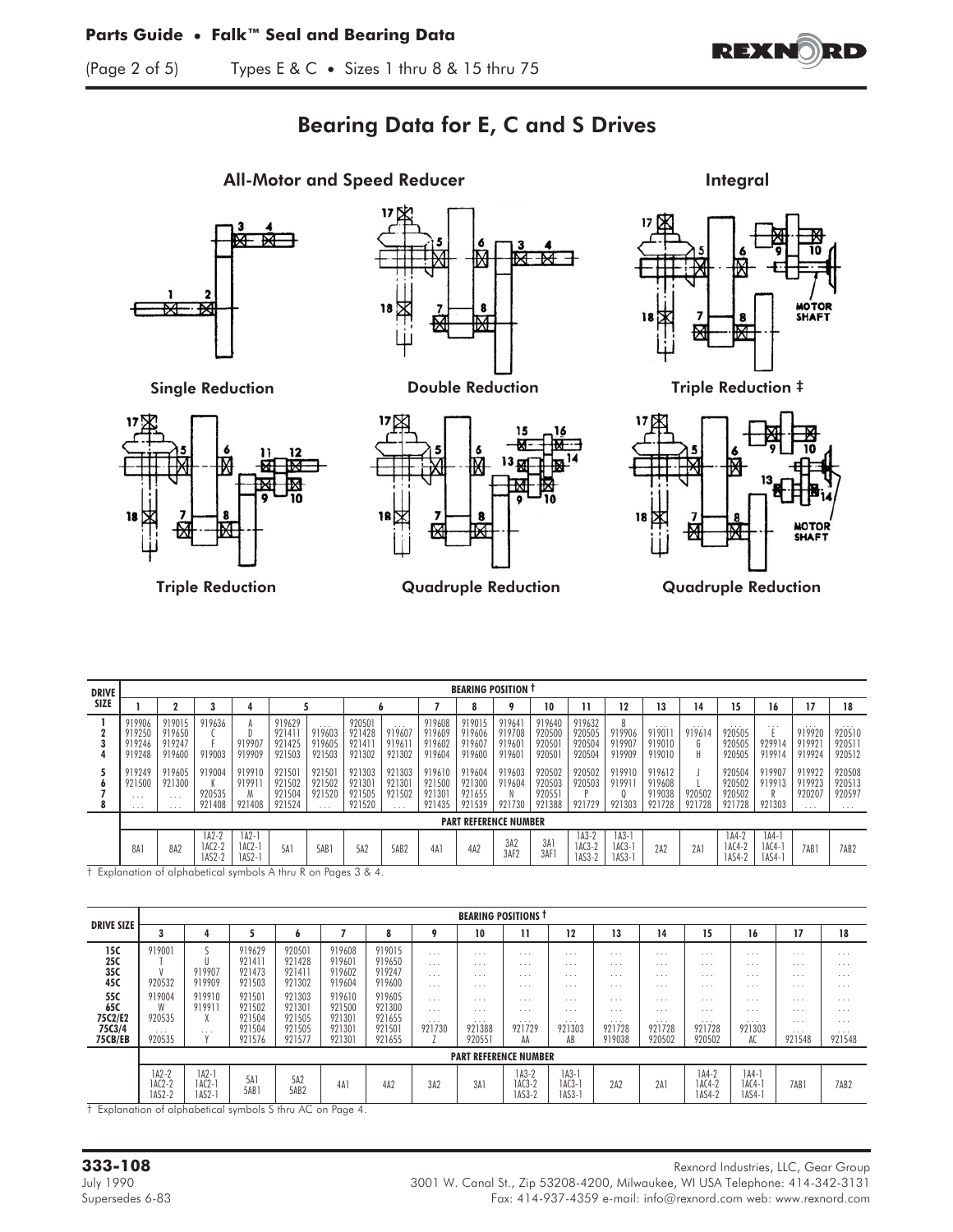

# Bearing Data for E, C and S Drives



MOTOR<br>SHAFT



Triple Reduction Quadruple Reduction Quadruple Reduction

DRIVE SIZE BEARING POSITION † 1 2 3 4 5 6 7 8 9 10 11 12 13 14 15 16 17 18 1 |919906 |919015 |919636 | A |919629 | ... |920501 | ... |919608 |919015 |919641 |919640 |919632 | B | ... | ... | ... | ... | ... | ... | ... | ... | 2 919250 919650 C D 921411 919603 921428 919607 919609 919606 919708 920500 920505 919906 919011 919614 920505 E 919920 920510 3 919246 919247 F 919907 921425 919605 921411 919611 919602 919607 919601 920501 920504 919907 919010 G 920505 929914 919921 920511 4 |919248 |919600 |919003 |919909 |921503 |921503 |921302 |921302 |919604 |919600 |919601 |920501 |920504 |919909 |919010 | H |920505 |919914 |919924 |920512 5 919249 919605 919004 919910 921501 921501 921303 921303 919610 919604 919603 920502 920502 919910 919612 J 920504 919907 919922 920508 6 921500 921300 K 919911 921502 921502 921301 921301 921500 921300 919604 920503 920503 919911 919608 L 920502 919913 919923 920513 7 ... | ... | 920535 | M | 921504 | 921520 | 921505 | 921502 | 921301 | 921655 | N | 920551 | P | Q | 919038 | 920502 | 920502 | R | 920207 | 920597 8 | ... | ... | 921408 | 921524 | ... | 921520 | ... | 921435 | 921739 | 921738 | 921729 | 921728 | 921728 | 921728 | 921728 | 921303 | ... | ... PART REFERENCE NUMBER 8A1 8A2 1A2-2 1A2-1<br>1AC2-2 1AC2-1<br>1AS2-2 1AS2-1  $5A1$   $5A1$   $5A2$   $5AB2$   $4A1$   $4A2$   $3A2$ 3AF2 3A1 3AF1 1A3-2 1A3-1<br>1AC3-2 1AC3-1<br>1AS3-2 1AS3-1 2A2 2A1 1A4-2 1A4-1<br>1AC4-2 1AC4-1<br>1AS4-2 1AS4-1 1AC2-2 1AC2-1 5A1 | 5AB1 | 5A2 | 5AB2 | 4A1 | 4A2 | 3AC | 3AC | 3AC1 1AC3-2 | 1AC3-1 | 2A2 | 2A1 | 1AC4-2 | 1AC4-1 | 7AB1 | 7AB2 1AS2-2 1AS2-1 1AS3-2 1AS3-1 1AS4-2 1AS4-1

† Explanation of alphabetical symbols A thru R on Pages 3 & 4.

|                                            |                                             |                                          |                                                |                                                |                                                |                                                |                                                                                                          | <b>BEARING POSITIONS T</b>                                          |                                                  |                                                             |                                                                                           |                                        |                                                                                           |                                                                            |                                                         |                                                                            |
|--------------------------------------------|---------------------------------------------|------------------------------------------|------------------------------------------------|------------------------------------------------|------------------------------------------------|------------------------------------------------|----------------------------------------------------------------------------------------------------------|---------------------------------------------------------------------|--------------------------------------------------|-------------------------------------------------------------|-------------------------------------------------------------------------------------------|----------------------------------------|-------------------------------------------------------------------------------------------|----------------------------------------------------------------------------|---------------------------------------------------------|----------------------------------------------------------------------------|
| <b>DRIVE SIZE</b>                          | J.                                          | 4                                        |                                                | o                                              |                                                |                                                |                                                                                                          | 10                                                                  | 11                                               | 12                                                          | 13                                                                                        | 14                                     | 15                                                                                        | 16                                                                         | 17                                                      | 18                                                                         |
| 15C<br>25C<br>35C<br>45C                   | 919001<br>920532                            | 919907<br>919909                         | 919629<br>92141<br>921473<br>921503            | 920501<br>921428<br>921411<br>921302           | 919608<br>919601<br>919602<br>919604           | 919015<br>919650<br>919247<br>919600           | $\cdot$ $\cdot$ $\cdot$<br>$\cdot$ $\cdot$ $\cdot$<br>$\cdot$ $\cdot$ $\cdot$<br>$\cdot$ $\cdot$ $\cdot$ | $\cdot$ $\cdot$ $\cdot$<br>$\cdots$<br>$\cdot$ $\cdot$ $\cdot$<br>. | $\cdots$<br>$\cdots$<br>$\cdots$<br>$\cdots$     | $\cdots$<br>$\cdots$<br>$\cdot$ $\cdot$ $\cdot$<br>$\cdots$ | $\cdot$ $\cdot$ $\cdot$<br>$\cdot$ $\cdot$ $\cdot$<br>$\cdot$ $\cdot$ $\cdot$<br>$\cdots$ | $\cdots$<br>.<br>$\cdots$<br>$\cdots$  | $\cdot$ $\cdot$ $\cdot$<br>$\cdot$ $\cdot$ $\cdot$<br>$\cdot$ $\cdot$ $\cdot$<br>$\cdots$ | $\cdot$ $\cdot$ $\cdot$<br>$\cdot$ $\cdot$ $\cdot$<br>$\cdots$<br>$\cdots$ | $\cdots$<br>$\cdots$<br>$\cdots$<br>$\cdots$            | $\cdot$ $\cdot$ $\cdot$<br>$\cdot$ $\cdot$ $\cdot$<br>$\cdots$<br>$\cdots$ |
| 55C<br>65C<br>75C2/E2<br>75C3/4<br>75CB/EB | 919004<br>W<br>920535<br>$\cdots$<br>920535 | 919910<br>91991<br>$\Lambda$<br>$\cdots$ | 921501<br>921502<br>921504<br>921504<br>921576 | 921303<br>921301<br>921505<br>921505<br>921577 | 919610<br>921500<br>921301<br>921301<br>921301 | 919605<br>921300<br>921655<br>921501<br>921655 | $\cdot$ $\cdot$ $\cdot$<br>$\cdots$<br>$\cdots$<br>921730                                                | .<br>.<br>$\cdots$<br>921388<br>920551                              | $\cdots$<br>$\cdots$<br>$\cdots$<br>921729<br>AA | $\cdots$<br>$\cdots$<br>$\cdots$<br>921303<br>AB            | $\cdots$<br>.<br>$\cdots$<br>921728<br>919038                                             | .<br>.<br>$\cdots$<br>921728<br>920502 | $\cdots$<br>$\cdots$<br>$\cdots$<br>921728<br>920502                                      | $\cdots$<br>$\cdots$<br>$\cdots$<br>921303<br>AC                           | .<br>.<br>$\cdots$<br>$\cdot$ $\cdot$ $\cdot$<br>921548 | $\cdots$<br>$\cdots$<br>$\cdots$<br>$\cdots$<br>921548                     |
|                                            | <b>PART REFERENCE NUMBER</b>                |                                          |                                                |                                                |                                                |                                                |                                                                                                          |                                                                     |                                                  |                                                             |                                                                                           |                                        |                                                                                           |                                                                            |                                                         |                                                                            |
|                                            | $1A2-2$<br>1AC2-2<br>1AS2-2                 | $142-1$<br>$ AC2-1 $<br><b>IAS2-1</b>    | 5Ai<br>5AB <sub>i</sub>                        | 5A2<br>5AB2                                    | 4A1                                            | 4A2                                            | 3A2                                                                                                      | 3A                                                                  | $1A3-2$<br>1AC3-2<br>1AS3-2                      | $1A3-1$<br>1AC3-<br>$1AS3-$                                 | 2A2                                                                                       | 2A1                                    | $1A4-2$<br>1AC4-2<br>1AS4-2                                                               | $1A4-1$<br>1AC4-1<br>1AS4-1                                                | 7AB1                                                    | 7AB2                                                                       |

† Explanation of alphabetical symbols S thru AC on Page 4.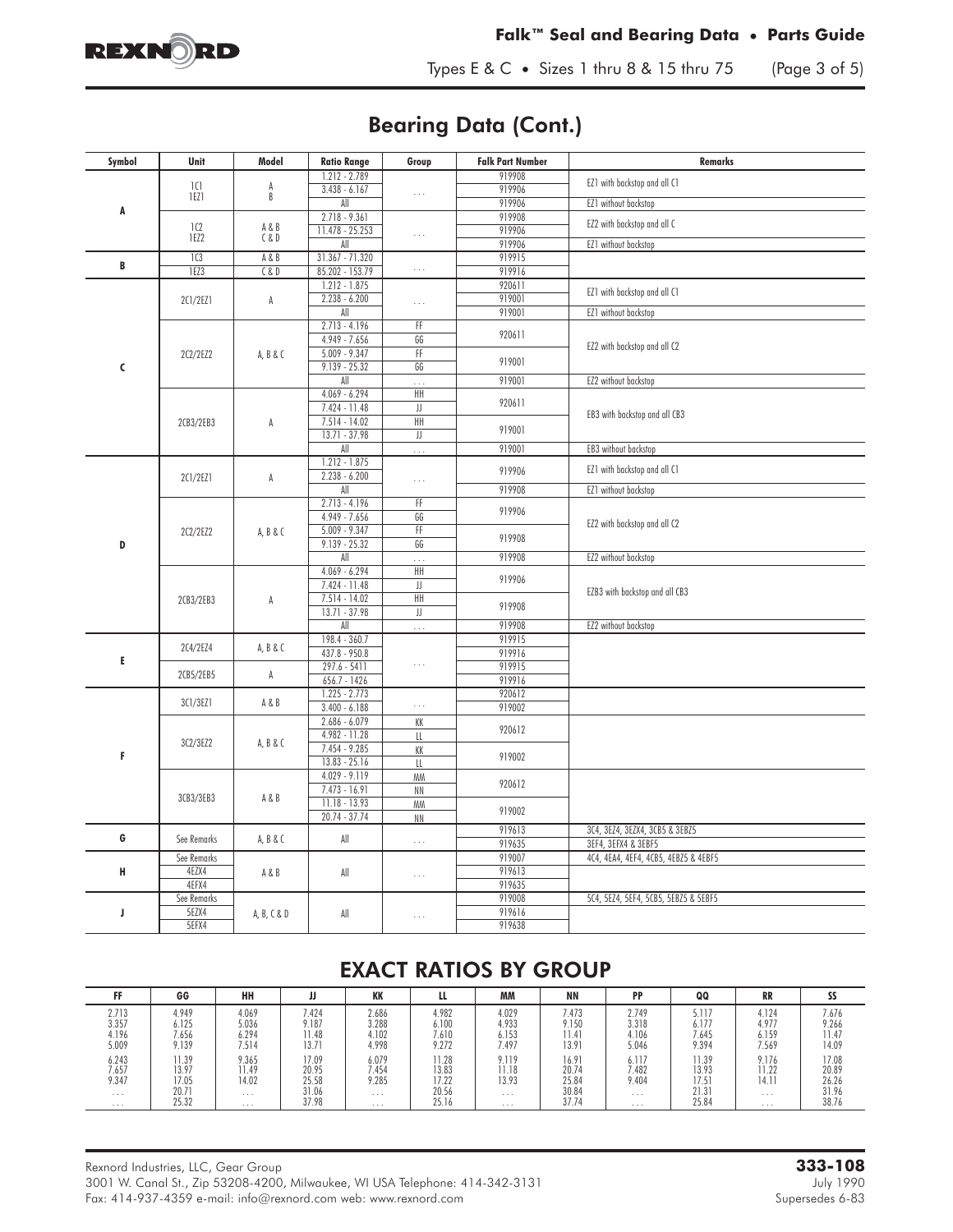

Types E & C **•** Sizes 1 thru 8 & 15 thru 75 (Page 3 of 5)

## Bearing Data (Cont.)

| Symbol | Unit                 | Model        | <b>Ratio Range</b>     | Group           | <b>Falk Part Number</b> | Remarks                                                     |
|--------|----------------------|--------------|------------------------|-----------------|-------------------------|-------------------------------------------------------------|
|        |                      |              | $1.212 - 2.789$        |                 | 919908                  |                                                             |
|        | 1 <sup>C</sup> 1     | A<br>B       | $3.438 - 6.167$        | .               | 919906                  | EZ1 with backstop and all C1                                |
|        | 1EZ1                 |              | All                    |                 | 919906                  | EZ1 without backstop                                        |
| A      |                      |              | $2.718 - 9.361$        |                 | 919908                  |                                                             |
|        | 1C2<br>1EZ2          | A&B<br>C & D | 11.478 - 25.253        | $\cdots$        | 919906                  | EZ2 with backstop and all C                                 |
|        |                      |              | All                    |                 | 919906                  | EZ1 without backstop                                        |
| B      | 1C3                  | A&B          | $31.367 - 71.320$      |                 | 919915                  |                                                             |
|        | 1EZ3                 | C & D        | 85.202 - 153.79        | $\cdots$        | 919916                  |                                                             |
|        |                      |              | $1.212 - 1.875$        |                 | 920611                  | EZ1 with backstop and all C1                                |
|        | 2C1/2EZ1             | А            | $2.238 - 6.200$        | $\ldots$        | 919001                  |                                                             |
|        |                      |              | All                    |                 | 919001                  | EZ1 without backstop                                        |
|        |                      |              | $2.713 - 4.196$        | FF              | 920611                  |                                                             |
|        |                      |              | $4.949 - 7.656$        | GG              |                         | EZ2 with backstop and all C2                                |
|        | 2C2/2EZ2             | A, B & C     | $5.009 - 9.347$        | FF              | 919001                  |                                                             |
| C      |                      |              | $9.139 - 25.32$        | GG              |                         |                                                             |
|        |                      |              | All<br>$4.069 - 6.294$ | .               | 919001                  | EZ2 without backstop                                        |
|        |                      |              | 7.424 - 11.48          | HΗ<br>JJ        | 920611                  |                                                             |
|        |                      |              | $7.514 - 14.02$        | HΗ              |                         | EB3 with backstop and all CB3                               |
|        | 2CB3/2EB3            | A            | $13.71 - 37.98$        | JJ              | 919001                  |                                                             |
|        |                      |              | All                    | .               | 919001                  | EB3 without backstop                                        |
|        |                      |              | $1.212 - 1.875$        |                 |                         |                                                             |
|        | 2C1/2EZ1             | A            | $2.238 - 6.200$        | $\cdots$        | 919906                  | EZ1 with backstop and all C1                                |
|        |                      |              | All                    |                 | 919908                  | EZ1 without backstop                                        |
|        |                      |              | $2.713 - 4.196$        | FF              |                         |                                                             |
|        |                      |              | $4.949 - 7.656$        | GG              | 919906                  |                                                             |
|        | 2C2/2EZ2             | A, B & C     | $5.009 - 9.347$        | FF              |                         | EZ2 with backstop and all C2                                |
| D      |                      |              | $9.139 - 25.32$        | GG              | 919908                  |                                                             |
|        |                      |              | All                    | .               | 919908                  | EZ2 without backstop                                        |
|        | 2CB3/2EB3            | A            | $4.069 - 6.294$        | HΗ              | 919906                  |                                                             |
|        |                      |              | 7.424 - 11.48          | JJ              |                         | EZB3 with backstop and all CB3                              |
|        |                      |              |                        | $7.514 - 14.02$ | HΗ                      | 919908                                                      |
|        |                      |              | $13.71 - 37.98$<br>All | JJ              | 919908                  | EZ2 without backstop                                        |
|        |                      |              | $198.4 - 360.7$        |                 | 919915                  |                                                             |
|        | 2C4/2EZ4             | A, B & C     | 437.8 - 950.8          |                 | 919916                  |                                                             |
| E      |                      |              | 297.6 - 5411           | .               | 919915                  |                                                             |
|        | 2CB5/2EB5            | A            | 656.7 - 1426           |                 | 919916                  |                                                             |
|        |                      |              | $1.225 - 2.773$        |                 | 920612                  |                                                             |
|        | 3C1/3EZ1             | A&B          | $3.400 - 6.188$        | $\ldots$        | 919002                  |                                                             |
|        |                      |              | $2.686 - 6.079$        | КK              |                         |                                                             |
|        |                      |              | 4.982 - 11.28          | Щ               | 920612                  |                                                             |
| F      | 3C2/3EZ2             | A, B & C     | 7.454 - 9.285          | KK              |                         |                                                             |
|        |                      |              | $13.83 - 25.16$        | LL              | 919002                  |                                                             |
|        |                      |              | $4.029 - 9.119$        | <b>MM</b>       | 920612                  |                                                             |
|        | 3CB3/3EB3            | A&B          | $7.473 - 16.91$        | ΝN              |                         |                                                             |
|        |                      |              | 11.18 - 13.93          | <b>MM</b>       | 919002                  |                                                             |
|        |                      |              | $20.74 - 37.74$        | NN              |                         |                                                             |
| G      | See Remarks          | A, B & C     | All                    | $\ldots$        | 919613                  | 3C4, 3EZ4, 3EZX4, 3CB5 & 3EBZ5                              |
|        |                      |              |                        |                 | 919635<br>919007        | 3EF4, 3EFX4 & 3EBF5<br>4C4, 4EA4, 4EF4, 4CB5, 4EBZ5 & 4EBF5 |
| н      | See Remarks<br>4EZX4 |              |                        |                 | 919613                  |                                                             |
|        | 4EFX4                | A&B          | All                    | $\cdots$        | 919635                  |                                                             |
|        | See Remarks          |              |                        |                 | 919008                  | 5C4, 5EZ4, 5EF4, 5CB5, 5EBZ5 & 5EBF5                        |
| J      | 5EZX4                | A, B, C & D  | All                    |                 | 919616                  |                                                             |
|        | 5EFX4                |              |                        | .               | 919638                  |                                                             |

### EXACT RATIOS BY GROUP

|          | GG    | HH    |       | 1/1/<br>ĸĸ. | LL    | MМ       | <b>NN</b> | <b>PP</b> | QQ    | <b>RR</b> |       |
|----------|-------|-------|-------|-------------|-------|----------|-----------|-----------|-------|-----------|-------|
| 2.713    | 4.949 | 4.069 | 7.424 | 2.686       | 4.982 | 4.029    | 7.473     | 2.749     | 5.117 | 4.124     | 7.676 |
| 3.357    | 6.125 | 5.036 | 9.187 | 3.288       | 6.100 | 4.933    | 9.150     | 3.318     | 6.177 | 4.977     | 9.266 |
| 4.196    | 7.656 | 6.294 | 11.48 | 4.102       | 7.610 | 6.153    | 11.41     | 4.106     | 7.645 | 6.159     | 11.47 |
| 5.009    | 9.139 | 7.514 | 13.71 | 4.998       | 9.272 | 7.497    | 13.91     | 5.046     | 9.394 | 7.569     | 14.09 |
| 6.243    | 11.39 | 9.365 | 17.09 | 6.079       | 11.28 | 9.119    | 16.91     | 6.117     | 11.39 | 9.176     | 17.08 |
| 7.657    | 13.97 | 1.49  | 20.95 | 1.454       | 13.83 | 11.18    | 20.74     | 7.482     | 13.93 | 11.22     | 20.89 |
| 9.347    | 17.05 | 14.02 | 25.58 | 9.285       | 17.22 | 13.93    | 25.84     | 9.404     | 17.5  | 14.11     | 26.26 |
| $\cdots$ | 20.71 | .     | 31.06 | .           | 20.56 | $\cdots$ | 30.84     | .         | 21.31 | .         | 31.96 |
| .        | 25.32 | .     | 37.98 | .           | 25.16 | .        | 37.74     | .         | 25.84 | .         | 38.76 |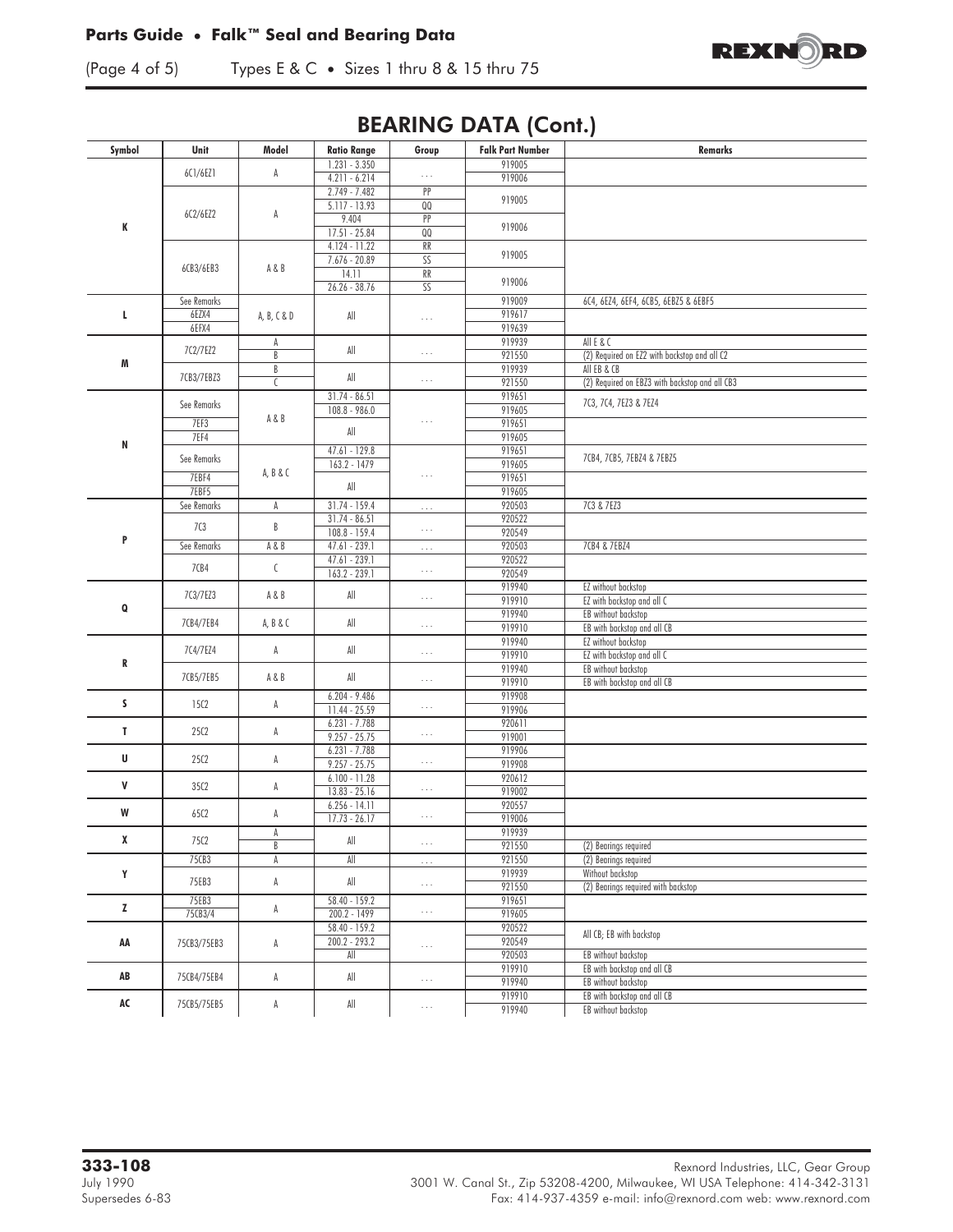#### **Parts Guide • Falk™ Seal and Bearing Data**



(Page 4 of 5) TypesE&C **•** Sizes 1 thru 8 & 15 thru 75

## BEARING DATA (Cont.)

| Symbol | Unit         | Model          | <b>Ratio Range</b>                 | Group                   | <b>Falk Part Number</b> | Remarks                                            |
|--------|--------------|----------------|------------------------------------|-------------------------|-------------------------|----------------------------------------------------|
|        |              |                | $1.231 - 3.350$                    |                         | 919005                  |                                                    |
|        | 6C1/6EZ1     | A              | $4.211 - 6.214$                    | $\cdots$                | 919006                  |                                                    |
|        |              |                | $2.749 - 7.482$                    | PP                      | 919005                  |                                                    |
|        | 6C2/6EZ2     | A              | $5.117 - 13.93$                    | $\mathsf{Q} \mathsf{Q}$ |                         |                                                    |
| K      |              |                | 9.404                              | PP                      | 919006                  |                                                    |
|        |              |                | $17.51 - 25.84$                    | QQ                      |                         |                                                    |
|        |              |                | $4.124 - 11.22$<br>$7.676 - 20.89$ | RR<br>SS                | 919005                  |                                                    |
|        | 6CB3/6EB3    | A&B            | 14.11                              | RR                      |                         |                                                    |
|        |              |                | $26.26 - 38.76$                    | $\overline{\text{SS}}$  | 919006                  |                                                    |
|        | See Remarks  |                |                                    |                         | 919009                  | 6C4, 6EZ4, 6EF4, 6CB5, 6EBZ5 & 6EBF5               |
| L.     | 6EZX4        | A, B, C & D    | All                                | $\ldots$                | 919617                  |                                                    |
|        | 6EFX4        |                |                                    |                         | 919639                  |                                                    |
|        |              | A              |                                    |                         | 919939                  | All E & C                                          |
| M      | 7C2/7EZ2     | B              | All                                | $\ldots$                | 921550                  | (2) Required on EZ2 with backstop and all C2       |
|        | 7CB3/7EBZ3   | B              | All                                |                         | 919939                  | All EB & CB                                        |
|        |              | C              |                                    | $\cdots$                | 921550                  | (2) Required on EBZ3 with backstop and all CB3     |
|        | See Remarks  |                | $31.74 - 86.51$                    |                         | 919651                  | 7C3, 7C4, 7EZ3 & 7EZ4                              |
|        |              | A&B            | 108.8 - 986.0                      | $\ldots$                | 919605                  |                                                    |
|        | 7EF3<br>7EF4 |                | $\mathsf{All}$                     |                         | 919651<br>919605        |                                                    |
| N      |              |                | $47.61 - 129.8$                    |                         | 919651                  |                                                    |
|        | See Remarks  |                | $163.2 - 1479$                     |                         | 919605                  | 7CB4, 7CB5, 7EBZ4 & 7EBZ5                          |
|        | 7EBF4        | A, B & C       |                                    | $\ldots$                | 919651                  |                                                    |
|        | 7EBF5        |                | All                                |                         | 919605                  |                                                    |
|        | See Remarks  | A              | $31.74 - 159.4$                    | $\ldots$                | 920503                  | 7C3 & 7EZ3                                         |
|        |              |                | $31.74 - 86.51$                    |                         | 920522                  |                                                    |
| P      | 703          | B              | $108.8 - 159.4$                    | $\ldots$                | 920549                  |                                                    |
|        | See Remarks  | A&B            | $47.61 - 239.1$                    | $\ldots$                | 920503                  | 7CB4 & 7EBZ4                                       |
|        | 7CB4         | $\mathfrak{c}$ | $47.61 - 239.1$                    |                         | 920522                  |                                                    |
|        |              |                | $163.2 - 239.1$                    | $\ldots$                | 920549                  |                                                    |
|        | 7C3/7EZ3     | A&B            | $\mathsf{All}$                     | $\ldots$ .              | 919940                  | EZ without backstop                                |
| Q      |              |                |                                    |                         | 919910<br>919940        | EZ with backstop and all C                         |
|        | 7CB4/7EB4    | A, B & C       | All                                | $\cdots$                | 919910                  | EB without backstop<br>EB with backstop and all CB |
|        |              |                |                                    |                         | 919940                  | EZ without backstop                                |
|        | 7C4/7EZ4     | A              | All                                | $\ldots$ .              | 919910                  | EZ with backstop and all C                         |
| R      |              |                |                                    |                         | 919940                  | EB without backstop                                |
|        | 7CB5/7EB5    | A&B            | All                                | $\ldots$                | 919910                  | EB with backstop and all CB                        |
|        |              |                | $6.204 - 9.486$                    |                         | 919908                  |                                                    |
| s.     | 1502         | A              | 11.44 - 25.59                      | $\cdots$                | 919906                  |                                                    |
| T      | 25C2         | A              | $6.231 - 7.788$                    |                         | 920611                  |                                                    |
|        |              |                | $9.257 - 25.75$                    | $\cdots$                | 919001                  |                                                    |
| U      | 25C2         | A              | $6.231 - 7.788$                    |                         | 919906                  |                                                    |
|        |              |                | $9.257 - 25.75$<br>$6.100 - 11.28$ | $\cdots$                | 919908                  |                                                    |
| V      | 35C2         | A              | $13.83 - 25.16$                    | $\cdots$                | 920612<br>919002        |                                                    |
|        |              |                | $6.256 - 14.11$                    |                         | 920557                  |                                                    |
| W      | 65C2         | А              | $17.73 - 26.17$                    | $\cdots$                | 919006                  |                                                    |
|        |              | А              |                                    |                         | 919939                  |                                                    |
| x      | 75C2         | B              | All                                | $\ldots$                | 921550                  | (2) Bearings required                              |
|        | 75CB3        | A              | All                                | $\ldots$ .              | 921550                  | (2) Bearings required                              |
| Y      |              |                |                                    |                         | 919939                  | Without backstop                                   |
|        | 75EB3        | A              | $\mathsf{All}$                     | $\ldots$                | 921550                  | (2) Bearings required with backstop                |
| Z      | 75EB3        | A              | 58.40 - 159.2                      |                         | 919651                  |                                                    |
|        | 75CB3/4      |                | $200.2 - 1499$                     | $\ldots$                | 919605                  |                                                    |
|        |              |                | $58.40 - 159.2$                    |                         | 920522                  | All CB; EB with backstop                           |
| AA     | 75CB3/75EB3  | A              | $200.2 - 293.2$                    | $\ldots$                | 920549                  |                                                    |
|        |              |                | $\overline{\mathsf{All}}$          |                         | 920503<br>919910        | EB without backstop<br>EB with backstop and all CB |
| AB     | 75CB4/75EB4  | A              | $\mathsf{All}$                     | $\cdots$                | 919940                  | EB without backstop                                |
|        |              |                |                                    |                         | 919910                  | EB with backstop and all CB                        |
| AC     | 75CB5/75EB5  | A              | $\mathsf{All}$                     | $\ldots$                | 919940                  | EB without backstop                                |
|        |              |                |                                    |                         |                         |                                                    |